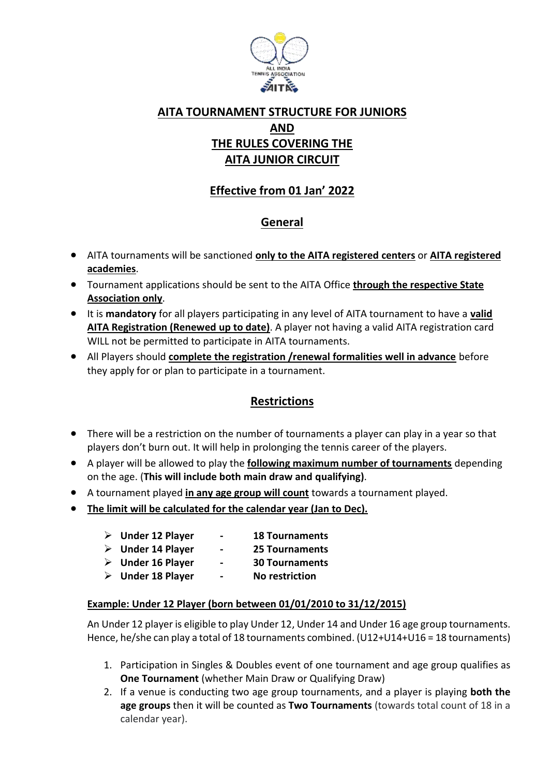

# **AITA TOURNAMENT STRUCTURE FOR JUNIORS AND THE RULES COVERING THE AITA JUNIOR CIRCUIT**

# **Effective from 01 Jan' 2022**

## **General**

- AITA tournaments will be sanctioned **only to the AITA registered centers** or **AITA registered academies**.
- Tournament applications should be sent to the AITA Office **through the respective State Association only**.
- It is **mandatory** for all players participating in any level of AITA tournament to have a **valid AITA Registration (Renewed up to date)**. A player not having a valid AITA registration card WILL not be permitted to participate in AITA tournaments.
- All Players should **complete the registration /renewal formalities well in advance** before they apply for or plan to participate in a tournament.

## **Restrictions**

- There will be a restriction on the number of tournaments a player can play in a year so that players don't burn out. It will help in prolonging the tennis career of the players.
- A player will be allowed to play the **following maximum number of tournaments** depending on the age. (**This will include both main draw and qualifying)**.
- A tournament played **in any age group will count** towards a tournament played.
- **The limit will be calculated for the calendar year (Jan to Dec).**
	- **Under 12 Player - 18 Tournaments**
	- **Under 14 Player - 25 Tournaments**
	- **Under 16 Player - 30 Tournaments**
	- **Under 18 Player - No restriction**
		-

## **Example: Under 12 Player (born between 01/01/2010 to 31/12/2015)**

An Under 12 player is eligible to play Under 12, Under 14 and Under 16 age group tournaments. Hence, he/she can play a total of 18 tournaments combined. (U12+U14+U16 = 18 tournaments)

- 1. Participation in Singles & Doubles event of one tournament and age group qualifies as **One Tournament** (whether Main Draw or Qualifying Draw)
- 2. If a venue is conducting two age group tournaments, and a player is playing **both the age groups** then it will be counted as **Two Tournaments** (towards total count of 18 in a calendar year).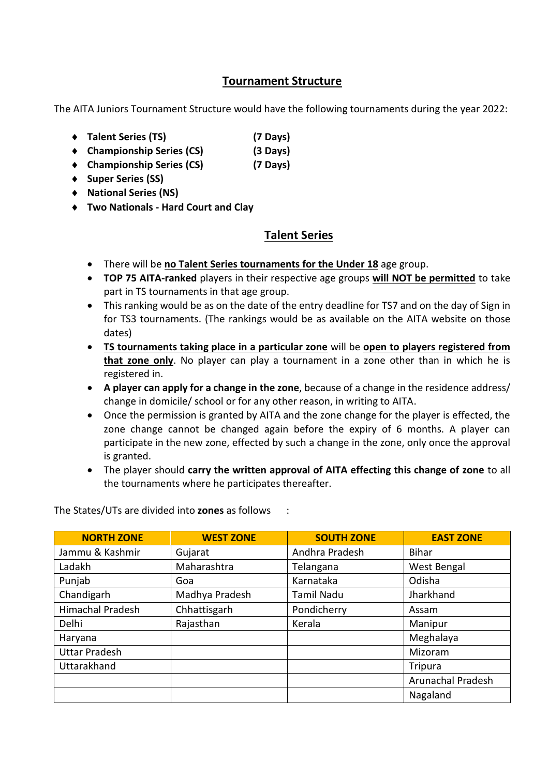## **Tournament Structure**

The AITA Juniors Tournament Structure would have the following tournaments during the year 2022:

- **Talent Series (TS) (7 Days)**
- **Championship Series (CS) (3 Days)**
- **Championship Series (CS) (7 Days)**
- **Super Series (SS)**
- **National Series (NS)**
- **Two Nationals - Hard Court and Clay**

# **Talent Series**

- There will be **no Talent Series tournaments for the Under 18** age group.
- **TOP 75 AITA-ranked** players in their respective age groups **will NOT be permitted** to take part in TS tournaments in that age group.
- This ranking would be as on the date of the entry deadline for TS7 and on the day of Sign in for TS3 tournaments. (The rankings would be as available on the AITA website on those dates)
- **TS tournaments taking place in a particular zone** will be **open to players registered from that zone only**. No player can play a tournament in a zone other than in which he is registered in.
- **A player can apply for a change in the zone**, because of a change in the residence address/ change in domicile/ school or for any other reason, in writing to AITA.
- Once the permission is granted by AITA and the zone change for the player is effected, the zone change cannot be changed again before the expiry of 6 months. A player can participate in the new zone, effected by such a change in the zone, only once the approval is granted.
- The player should **carry the written approval of AITA effecting this change of zone** to all the tournaments where he participates thereafter.

**NORTH ZONE WEST ZONE SOUTH ZONE EAST ZONE** Jammu & Kashmir  $\vert$  Gujarat  $\vert$  Andhra Pradesh  $\vert$  Bihar Ladakh Maharashtra | Telangana | West Bengal Punjab | Goa | Karnataka | Odisha Chandigarh | Madhya Pradesh | Tamil Nadu | Jharkhand Himachal Pradesh (Chhattisgarh Pondicherry | Assam Delhi | Rajasthan | Kerala | Manipur Haryana Meghalaya Uttar Pradesh Nizoram Nijeriya (Nijeriya Nijeriya Nijeriya Nijeriya Nijeriya Nijeriya Nijeriya Nijeriya Nijeri Uttarakhand and the state of the state of the state of the state of the state of the state of the state of the state of the state of the state of the state of the state of the state of the state of the state of the state o Arunachal Pradesh Nagaland

The States/UTs are divided into **zones** as follows :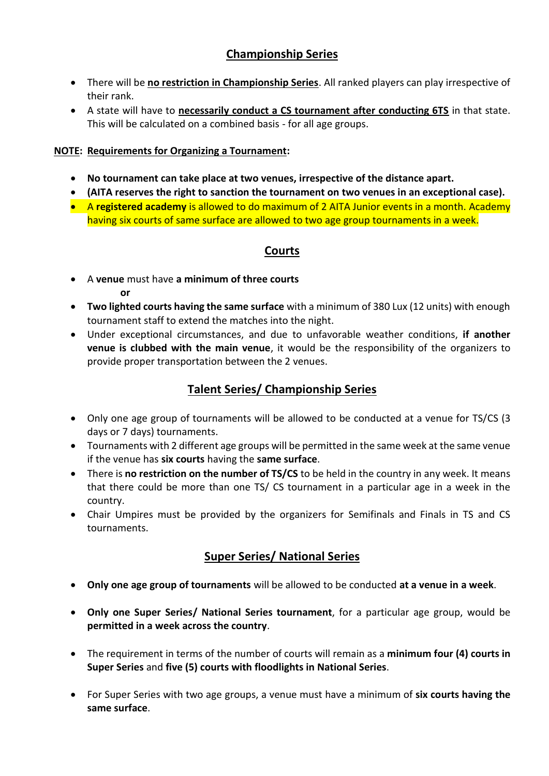# **Championship Series**

- There will be **no restriction in Championship Series**. All ranked players can play irrespective of their rank.
- A state will have to **necessarily conduct a CS tournament after conducting 6TS** in that state. This will be calculated on a combined basis - for all age groups.

### **NOTE: Requirements for Organizing a Tournament:**

- **No tournament can take place at two venues, irrespective of the distance apart.**
- **(AITA reserves the right to sanction the tournament on two venues in an exceptional case).**
- A **registered academy** is allowed to do maximum of 2 AITA Junior events in a month. Academy having six courts of same surface are allowed to two age group tournaments in a week.

## **Courts**

- A **venue** must have **a minimum of three courts or**
- **Two lighted courts having the same surface** with a minimum of 380 Lux (12 units) with enough tournament staff to extend the matches into the night.
- Under exceptional circumstances, and due to unfavorable weather conditions, **if another venue is clubbed with the main venue**, it would be the responsibility of the organizers to provide proper transportation between the 2 venues.

## **Talent Series/ Championship Series**

- Only one age group of tournaments will be allowed to be conducted at a venue for TS/CS (3 days or 7 days) tournaments.
- Tournaments with 2 different age groups will be permitted in the same week at the same venue if the venue has **six courts** having the **same surface**.
- There is **no restriction on the number of TS/CS** to be held in the country in any week. It means that there could be more than one TS/ CS tournament in a particular age in a week in the country.
- Chair Umpires must be provided by the organizers for Semifinals and Finals in TS and CS tournaments.

## **Super Series/ National Series**

- **Only one age group of tournaments** will be allowed to be conducted **at a venue in a week**.
- **Only one Super Series/ National Series tournament**, for a particular age group, would be **permitted in a week across the country**.
- The requirement in terms of the number of courts will remain as a **minimum four (4) courts in Super Series** and **five (5) courts with floodlights in National Series**.
- For Super Series with two age groups, a venue must have a minimum of **six courts having the same surface**.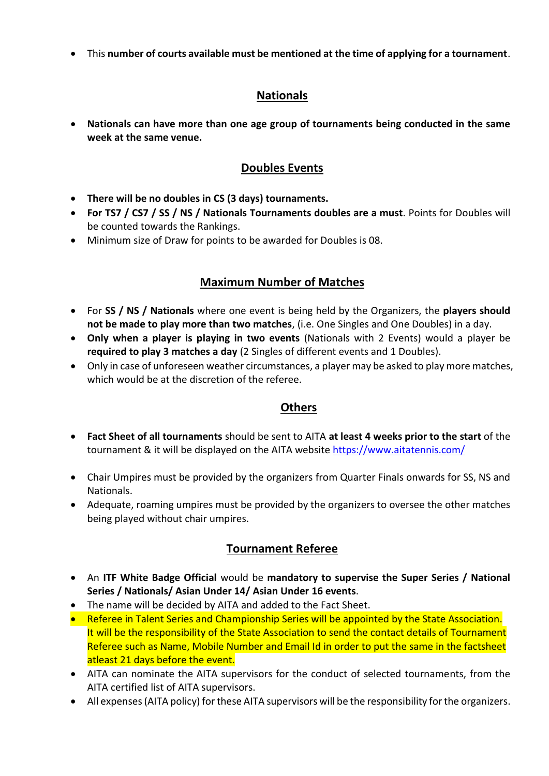This **number of courts available must be mentioned at the time of applying for a tournament**.

## **Nationals**

 **Nationals can have more than one age group of tournaments being conducted in the same week at the same venue.**

## **Doubles Events**

- **There will be no doubles in CS (3 days) tournaments.**
- **For TS7 / CS7 / SS / NS / Nationals Tournaments doubles are a must**. Points for Doubles will be counted towards the Rankings.
- Minimum size of Draw for points to be awarded for Doubles is 08.

## **Maximum Number of Matches**

- For **SS / NS / Nationals** where one event is being held by the Organizers, the **players should not be made to play more than two matches**, (i.e. One Singles and One Doubles) in a day.
- **Only when a player is playing in two events** (Nationals with 2 Events) would a player be **required to play 3 matches a day** (2 Singles of different events and 1 Doubles).
- Only in case of unforeseen weather circumstances, a player may be asked to play more matches, which would be at the discretion of the referee.

## **Others**

- **Fact Sheet of all tournaments** should be sent to AITA **at least 4 weeks prior to the start** of the tournament & it will be displayed on the AITA website <https://www.aitatennis.com/>
- Chair Umpires must be provided by the organizers from Quarter Finals onwards for SS, NS and Nationals.
- Adequate, roaming umpires must be provided by the organizers to oversee the other matches being played without chair umpires.

## **Tournament Referee**

- An **ITF White Badge Official** would be **mandatory to supervise the Super Series / National Series / Nationals/ Asian Under 14/ Asian Under 16 events**.
- The name will be decided by AITA and added to the Fact Sheet.
- Referee in Talent Series and Championship Series will be appointed by the State Association. It will be the responsibility of the State Association to send the contact details of Tournament Referee such as Name, Mobile Number and Email Id in order to put the same in the factsheet atleast 21 days before the event.
- AITA can nominate the AITA supervisors for the conduct of selected tournaments, from the AITA certified list of AITA supervisors.
- All expenses (AITA policy) for these AITA supervisors will be the responsibility for the organizers.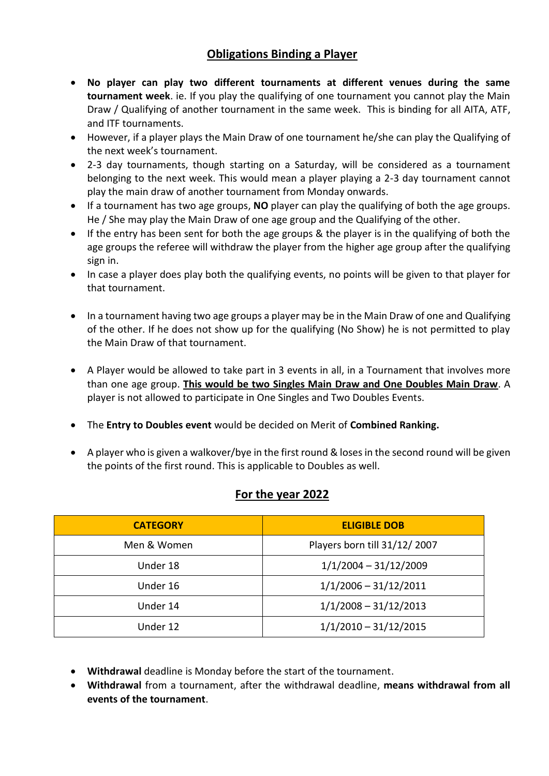## **Obligations Binding a Player**

- **No player can play two different tournaments at different venues during the same tournament week**. ie. If you play the qualifying of one tournament you cannot play the Main Draw / Qualifying of another tournament in the same week. This is binding for all AITA, ATF, and ITF tournaments.
- However, if a player plays the Main Draw of one tournament he/she can play the Qualifying of the next week's tournament.
- 2-3 day tournaments, though starting on a Saturday, will be considered as a tournament belonging to the next week. This would mean a player playing a 2-3 day tournament cannot play the main draw of another tournament from Monday onwards.
- If a tournament has two age groups, **NO** player can play the qualifying of both the age groups. He / She may play the Main Draw of one age group and the Qualifying of the other.
- If the entry has been sent for both the age groups & the player is in the qualifying of both the age groups the referee will withdraw the player from the higher age group after the qualifying sign in.
- In case a player does play both the qualifying events, no points will be given to that player for that tournament.
- In a tournament having two age groups a player may be in the Main Draw of one and Qualifying of the other. If he does not show up for the qualifying (No Show) he is not permitted to play the Main Draw of that tournament.
- A Player would be allowed to take part in 3 events in all, in a Tournament that involves more than one age group. **This would be two Singles Main Draw and One Doubles Main Draw**. A player is not allowed to participate in One Singles and Two Doubles Events.
- The **Entry to Doubles event** would be decided on Merit of **Combined Ranking.**
- A player who is given a walkover/bye in the first round & loses in the second round will be given the points of the first round. This is applicable to Doubles as well.

## **For the year 2022**

| <b>CATEGORY</b> | <b>ELIGIBLE DOB</b>          |  |
|-----------------|------------------------------|--|
| Men & Women     | Players born till 31/12/2007 |  |
| Under 18        | $1/1/2004 - 31/12/2009$      |  |
| Under 16        | $1/1/2006 - 31/12/2011$      |  |
| Under 14        | $1/1/2008 - 31/12/2013$      |  |
| Under 12        | $1/1/2010 - 31/12/2015$      |  |

- **Withdrawal** deadline is Monday before the start of the tournament.
- **Withdrawal** from a tournament, after the withdrawal deadline, **means withdrawal from all events of the tournament**.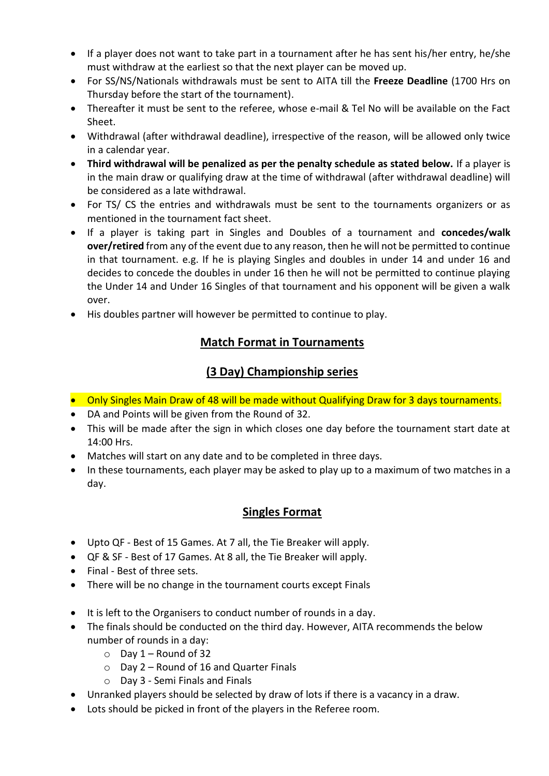- If a player does not want to take part in a tournament after he has sent his/her entry, he/she must withdraw at the earliest so that the next player can be moved up.
- For SS/NS/Nationals withdrawals must be sent to AITA till the **Freeze Deadline** (1700 Hrs on Thursday before the start of the tournament).
- Thereafter it must be sent to the referee, whose e-mail & Tel No will be available on the Fact Sheet.
- Withdrawal (after withdrawal deadline), irrespective of the reason, will be allowed only twice in a calendar year.
- **Third withdrawal will be penalized as per the penalty schedule as stated below.** If a player is in the main draw or qualifying draw at the time of withdrawal (after withdrawal deadline) will be considered as a late withdrawal.
- For TS/ CS the entries and withdrawals must be sent to the tournaments organizers or as mentioned in the tournament fact sheet.
- If a player is taking part in Singles and Doubles of a tournament and **concedes/walk over/retired** from any of the event due to any reason, then he will not be permitted to continue in that tournament. e.g. If he is playing Singles and doubles in under 14 and under 16 and decides to concede the doubles in under 16 then he will not be permitted to continue playing the Under 14 and Under 16 Singles of that tournament and his opponent will be given a walk over.
- His doubles partner will however be permitted to continue to play.

## **Match Format in Tournaments**

## **(3 Day) Championship series**

- Only Singles Main Draw of 48 will be made without Qualifying Draw for 3 days tournaments.
- DA and Points will be given from the Round of 32.
- This will be made after the sign in which closes one day before the tournament start date at 14:00 Hrs.
- Matches will start on any date and to be completed in three days.
- $\bullet$  In these tournaments, each player may be asked to play up to a maximum of two matches in a day.

## **Singles Format**

- Upto QF Best of 15 Games. At 7 all, the Tie Breaker will apply.
- QF & SF Best of 17 Games. At 8 all, the Tie Breaker will apply.
- Final Best of three sets.
- There will be no change in the tournament courts except Finals
- It is left to the Organisers to conduct number of rounds in a day.
- The finals should be conducted on the third day. However, AITA recommends the below number of rounds in a day:
	- $\circ$  Day 1 Round of 32
	- $\circ$  Day 2 Round of 16 and Quarter Finals
	- o Day 3 Semi Finals and Finals
- Unranked players should be selected by draw of lots if there is a vacancy in a draw.
- Lots should be picked in front of the players in the Referee room.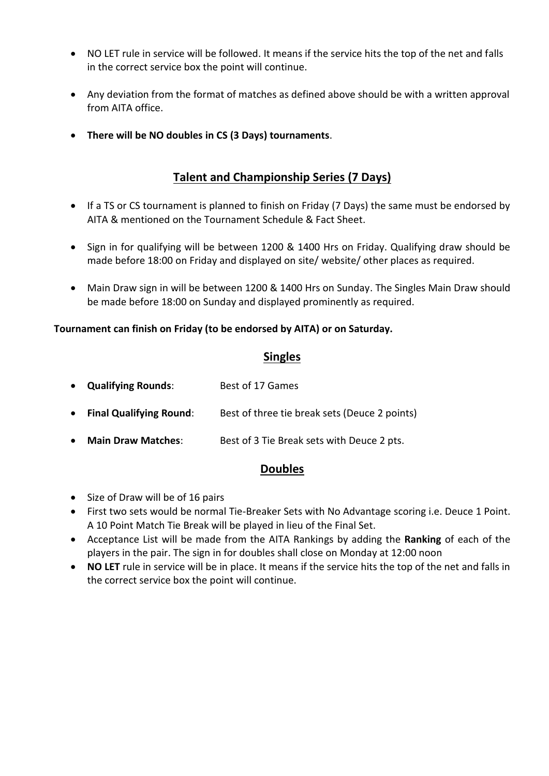- NO LET rule in service will be followed. It means if the service hits the top of the net and falls in the correct service box the point will continue.
- Any deviation from the format of matches as defined above should be with a written approval from AITA office.
- **There will be NO doubles in CS (3 Days) tournaments**.

# **Talent and Championship Series (7 Days)**

- If a TS or CS tournament is planned to finish on Friday (7 Days) the same must be endorsed by AITA & mentioned on the Tournament Schedule & Fact Sheet.
- Sign in for qualifying will be between 1200 & 1400 Hrs on Friday. Qualifying draw should be made before 18:00 on Friday and displayed on site/ website/ other places as required.
- Main Draw sign in will be between 1200 & 1400 Hrs on Sunday. The Singles Main Draw should be made before 18:00 on Sunday and displayed prominently as required.

### **Tournament can finish on Friday (to be endorsed by AITA) or on Saturday.**

## **Singles**

- **Qualifying Rounds**: Best of 17 Games
- **Final Qualifying Round**: Best of three tie break sets (Deuce 2 points)
- **Main Draw Matches:** Best of 3 Tie Break sets with Deuce 2 pts.

## **Doubles**

- Size of Draw will be of 16 pairs
- First two sets would be normal Tie-Breaker Sets with No Advantage scoring i.e. Deuce 1 Point. A 10 Point Match Tie Break will be played in lieu of the Final Set.
- Acceptance List will be made from the AITA Rankings by adding the **Ranking** of each of the players in the pair. The sign in for doubles shall close on Monday at 12:00 noon
- **NO LET** rule in service will be in place. It means if the service hits the top of the net and falls in the correct service box the point will continue.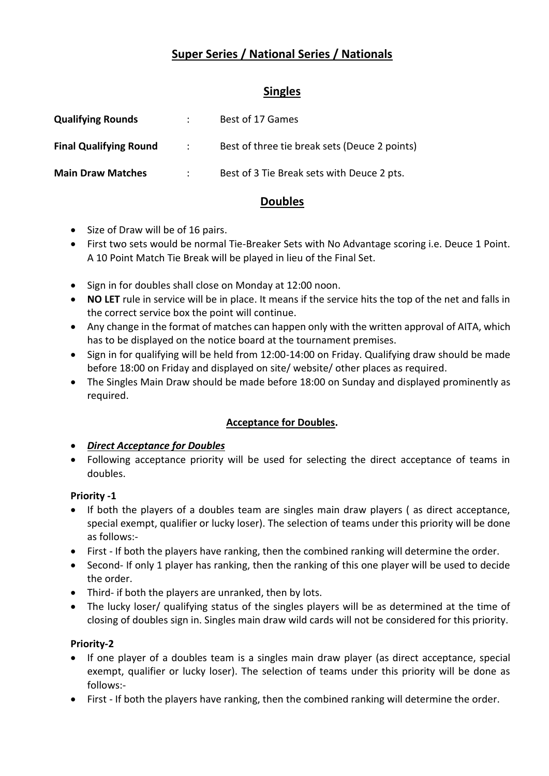# **Super Series / National Series / Nationals**

## **Singles**

| <b>Qualifying Rounds</b>      |             | Best of 17 Games                              |
|-------------------------------|-------------|-----------------------------------------------|
| <b>Final Qualifying Round</b> | $\sim 1000$ | Best of three tie break sets (Deuce 2 points) |
| <b>Main Draw Matches</b>      |             | Best of 3 Tie Break sets with Deuce 2 pts.    |

## **Doubles**

- Size of Draw will be of 16 pairs.
- First two sets would be normal Tie-Breaker Sets with No Advantage scoring i.e. Deuce 1 Point. A 10 Point Match Tie Break will be played in lieu of the Final Set.
- Sign in for doubles shall close on Monday at 12:00 noon.
- **NO LET** rule in service will be in place. It means if the service hits the top of the net and falls in the correct service box the point will continue.
- Any change in the format of matches can happen only with the written approval of AITA, which has to be displayed on the notice board at the tournament premises.
- Sign in for qualifying will be held from 12:00-14:00 on Friday. Qualifying draw should be made before 18:00 on Friday and displayed on site/ website/ other places as required.
- The Singles Main Draw should be made before 18:00 on Sunday and displayed prominently as required.

## **Acceptance for Doubles.**

- *Direct Acceptance for Doubles*
- Following acceptance priority will be used for selecting the direct acceptance of teams in doubles.

### **Priority -1**

- If both the players of a doubles team are singles main draw players (as direct acceptance, special exempt, qualifier or lucky loser). The selection of teams under this priority will be done as follows:-
- First If both the players have ranking, then the combined ranking will determine the order.
- Second- If only 1 player has ranking, then the ranking of this one player will be used to decide the order.
- Third- if both the players are unranked, then by lots.
- The lucky loser/ qualifying status of the singles players will be as determined at the time of closing of doubles sign in. Singles main draw wild cards will not be considered for this priority.

### **Priority-2**

- If one player of a doubles team is a singles main draw player (as direct acceptance, special exempt, qualifier or lucky loser). The selection of teams under this priority will be done as follows:-
- First If both the players have ranking, then the combined ranking will determine the order.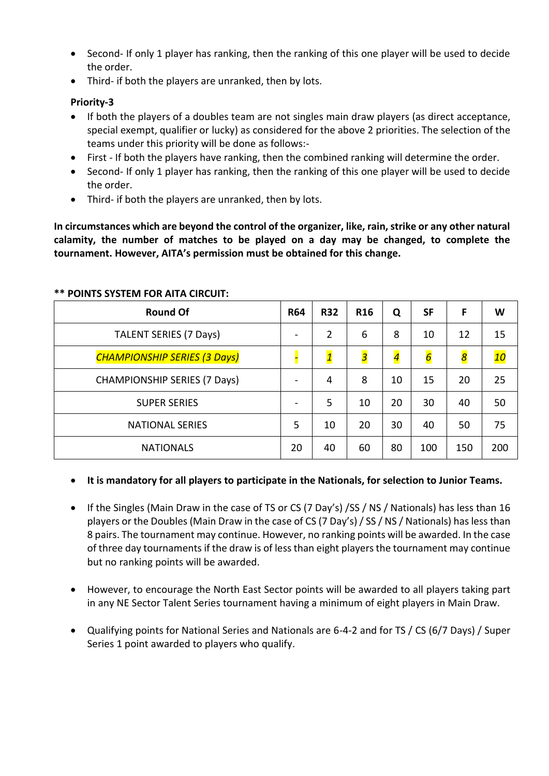- Second- If only 1 player has ranking, then the ranking of this one player will be used to decide the order.
- Third- if both the players are unranked, then by lots.

### **Priority-3**

- If both the players of a doubles team are not singles main draw players (as direct acceptance, special exempt, qualifier or lucky) as considered for the above 2 priorities. The selection of the teams under this priority will be done as follows:-
- First If both the players have ranking, then the combined ranking will determine the order.
- Second- If only 1 player has ranking, then the ranking of this one player will be used to decide the order.
- Third- if both the players are unranked, then by lots.

**In circumstances which are beyond the control of the organizer, like, rain, strike or any other natural calamity, the number of matches to be played on a day may be changed, to complete the tournament. However, AITA's permission must be obtained for this change.**

| <b>Round Of</b>                     | <b>R64</b> | <b>R32</b>              | <b>R16</b>              | Q              | <b>SF</b>      | F                | W   |
|-------------------------------------|------------|-------------------------|-------------------------|----------------|----------------|------------------|-----|
| <b>TALENT SERIES (7 Days)</b>       |            | 2                       | 6                       | 8              | 10             | 12               | 15  |
| <b>CHAMPIONSHIP SERIES (3 Days)</b> |            | $\overline{\mathbf{1}}$ | $\overline{\mathbf{3}}$ | $\overline{4}$ | $\overline{6}$ | $\boldsymbol{8}$ | 10  |
| <b>CHAMPIONSHIP SERIES (7 Days)</b> |            | 4                       | 8                       | 10             | 15             | 20               | 25  |
| <b>SUPER SERIES</b>                 |            | 5                       | 10                      | 20             | 30             | 40               | 50  |
| <b>NATIONAL SERIES</b>              |            | 10                      | 20                      | 30             | 40             | 50               | 75  |
| <b>NATIONALS</b>                    |            | 40                      | 60                      | 80             | 100            | 150              | 200 |

#### **\*\* POINTS SYSTEM FOR AITA CIRCUIT:**

### **It is mandatory for all players to participate in the Nationals, for selection to Junior Teams.**

- If the Singles (Main Draw in the case of TS or CS (7 Day's) /SS / NS / Nationals) has less than 16 players or the Doubles (Main Draw in the case of CS (7 Day's) / SS / NS / Nationals) has less than 8 pairs. The tournament may continue. However, no ranking points will be awarded. In the case of three day tournaments if the draw is of less than eight players the tournament may continue but no ranking points will be awarded.
- However, to encourage the North East Sector points will be awarded to all players taking part in any NE Sector Talent Series tournament having a minimum of eight players in Main Draw.
- Qualifying points for National Series and Nationals are 6-4-2 and for TS / CS (6/7 Days) / Super Series 1 point awarded to players who qualify.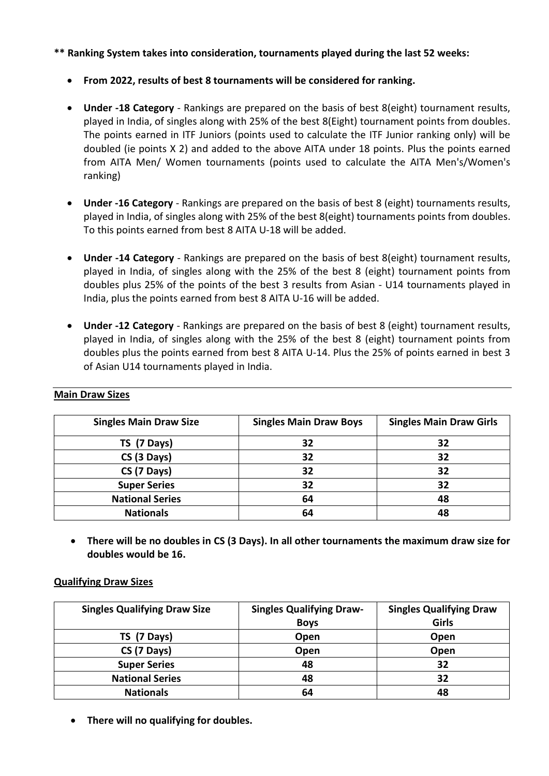#### **\*\* Ranking System takes into consideration, tournaments played during the last 52 weeks:**

- **From 2022, results of best 8 tournaments will be considered for ranking.**
- **Under ‐18 Category** ‐ Rankings are prepared on the basis of best 8(eight) tournament results, played in India, of singles along with 25% of the best 8(Eight) tournament points from doubles. The points earned in ITF Juniors (points used to calculate the ITF Junior ranking only) will be doubled (ie points X 2) and added to the above AITA under 18 points. Plus the points earned from AITA Men/ Women tournaments (points used to calculate the AITA Men's/Women's ranking)
- **Under ‐16 Category** Rankings are prepared on the basis of best 8 (eight) tournaments results, played in India, of singles along with 25% of the best 8(eight) tournaments points from doubles. To this points earned from best 8 AITA U‐18 will be added.
- **Under ‐14 Category** ‐ Rankings are prepared on the basis of best 8(eight) tournament results, played in India, of singles along with the 25% of the best 8 (eight) tournament points from doubles plus 25% of the points of the best 3 results from Asian ‐ U14 tournaments played in India, plus the points earned from best 8 AITA U‐16 will be added.
- **Under ‐12 Category** ‐ Rankings are prepared on the basis of best 8 (eight) tournament results, played in India, of singles along with the 25% of the best 8 (eight) tournament points from doubles plus the points earned from best 8 AITA U-14. Plus the 25% of points earned in best 3 of Asian U14 tournaments played in India.

| <b>Singles Main Draw Size</b> | <b>Singles Main Draw Boys</b> | <b>Singles Main Draw Girls</b> |
|-------------------------------|-------------------------------|--------------------------------|
| TS (7 Days)                   | 32                            | 32                             |
| CS (3 Days)                   | 32                            | 32                             |
| CS (7 Days)                   | 32                            | 32                             |
| <b>Super Series</b>           | 32                            | 32                             |
| <b>National Series</b>        | 64                            | 48                             |
| <b>Nationals</b>              | 64                            | 48                             |

#### **Main Draw Sizes**

 **There will be no doubles in CS (3 Days). In all other tournaments the maximum draw size for doubles would be 16.**

#### **Qualifying Draw Sizes**

| <b>Singles Qualifying Draw Size</b> | <b>Singles Qualifying Draw-</b> | <b>Singles Qualifying Draw</b> |
|-------------------------------------|---------------------------------|--------------------------------|
|                                     | <b>Boys</b>                     | Girls                          |
| $TS(7 \text{ Days})$                | Open                            | Open                           |
| CS (7 Days)                         | Open                            | Open                           |
| <b>Super Series</b>                 | 48                              | 32                             |
| <b>National Series</b>              | 48                              | 32                             |
| <b>Nationals</b>                    | 64                              | 48                             |

**There will no qualifying for doubles.**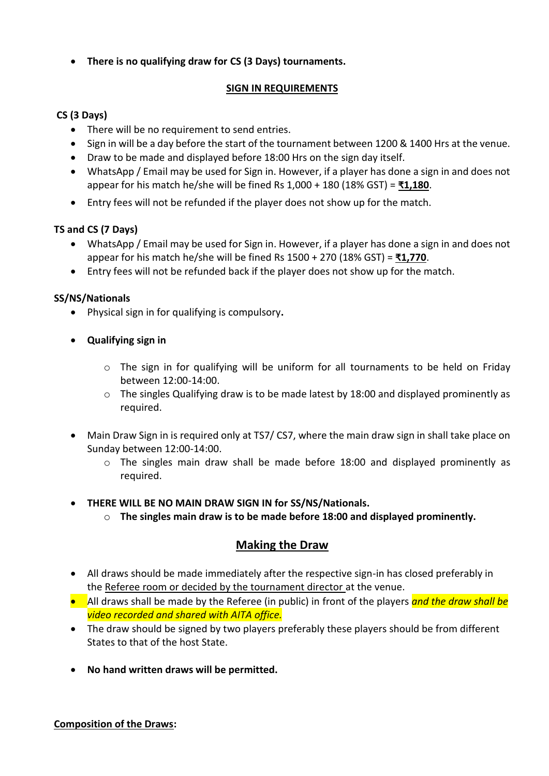**There is no qualifying draw for CS (3 Days) tournaments.**

## **SIGN IN REQUIREMENTS**

## **CS (3 Days)**

- There will be no requirement to send entries.
- Sign in will be a day before the start of the tournament between 1200 & 1400 Hrs at the venue.
- Draw to be made and displayed before 18:00 Hrs on the sign day itself.
- WhatsApp / Email may be used for Sign in. However, if a player has done a sign in and does not appear for his match he/she will be fined Rs 1,000 + 180 (18% GST) = **₹1,180**.
- Entry fees will not be refunded if the player does not show up for the match.

### **TS and CS (7 Days)**

- WhatsApp / Email may be used for Sign in. However, if a player has done a sign in and does not appear for his match he/she will be fined Rs 1500 + 270 (18% GST) = **₹1,770**.
- Entry fees will not be refunded back if the player does not show up for the match.

### **SS/NS/Nationals**

- Physical sign in for qualifying is compulsory**.**
- **Qualifying sign in** 
	- $\circ$  The sign in for qualifying will be uniform for all tournaments to be held on Friday between 12:00-14:00.
	- o The singles Qualifying draw is to be made latest by 18:00 and displayed prominently as required.
- Main Draw Sign in is required only at TS7/ CS7, where the main draw sign in shall take place on Sunday between 12:00-14:00.
	- $\circ$  The singles main draw shall be made before 18:00 and displayed prominently as required.
- **THERE WILL BE NO MAIN DRAW SIGN IN for SS/NS/Nationals.** 
	- o **The singles main draw is to be made before 18:00 and displayed prominently.**

## **Making the Draw**

- All draws should be made immediately after the respective sign-in has closed preferably in the Referee room or decided by the tournament director at the venue.
- All draws shall be made by the Referee (in public) in front of the players *and the draw shall be video recorded and shared with AITA office.*
- The draw should be signed by two players preferably these players should be from different States to that of the host State.
- **No hand written draws will be permitted.**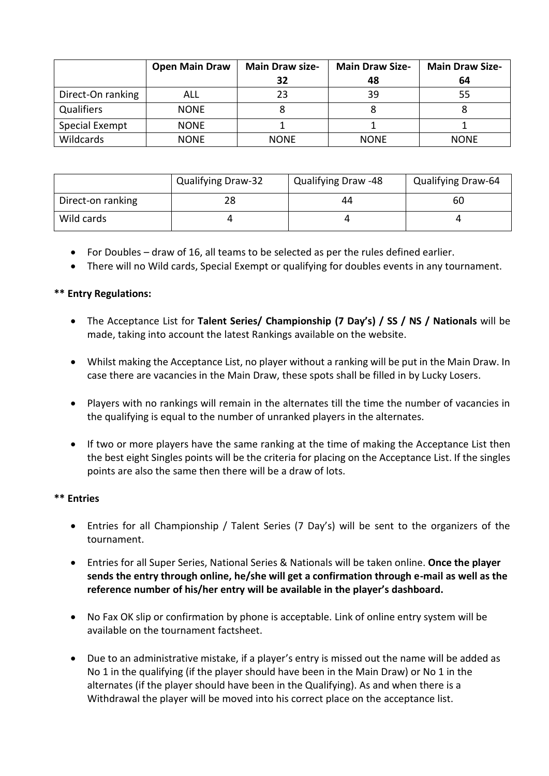|                   | <b>Open Main Draw</b> | <b>Main Draw size-</b> | <b>Main Draw Size-</b> | <b>Main Draw Size-</b> |
|-------------------|-----------------------|------------------------|------------------------|------------------------|
|                   |                       | 32                     | 48                     | 64                     |
| Direct-On ranking | ALL                   | 23                     | 39                     | 55                     |
| <b>Qualifiers</b> | <b>NONE</b>           |                        | 8                      |                        |
| Special Exempt    | <b>NONE</b>           |                        |                        |                        |
| Wildcards         | <b>NONE</b>           | <b>NONE</b>            | <b>NONE</b>            | <b>NONE</b>            |

|                   | <b>Qualifying Draw-32</b> | Qualifying Draw -48 | <b>Qualifying Draw-64</b> |
|-------------------|---------------------------|---------------------|---------------------------|
| Direct-on ranking | 28                        | 44                  | 60                        |
| Wild cards        |                           |                     |                           |

- For Doubles draw of 16, all teams to be selected as per the rules defined earlier.
- There will no Wild cards, Special Exempt or qualifying for doubles events in any tournament.

#### **\*\* Entry Regulations:**

- The Acceptance List for **Talent Series/ Championship (7 Day's) / SS / NS / Nationals** will be made, taking into account the latest Rankings available on the website.
- Whilst making the Acceptance List, no player without a ranking will be put in the Main Draw. In case there are vacancies in the Main Draw, these spots shall be filled in by Lucky Losers.
- Players with no rankings will remain in the alternates till the time the number of vacancies in the qualifying is equal to the number of unranked players in the alternates.
- If two or more players have the same ranking at the time of making the Acceptance List then the best eight Singles points will be the criteria for placing on the Acceptance List. If the singles points are also the same then there will be a draw of lots.

#### **\*\* Entries**

- Entries for all Championship / Talent Series (7 Day's) will be sent to the organizers of the tournament.
- Entries for all Super Series, National Series & Nationals will be taken online. **Once the player sends the entry through online, he/she will get a confirmation through e-mail as well as the reference number of his/her entry will be available in the player's dashboard.**
- No Fax OK slip or confirmation by phone is acceptable. Link of online entry system will be available on the tournament factsheet.
- Due to an administrative mistake, if a player's entry is missed out the name will be added as No 1 in the qualifying (if the player should have been in the Main Draw) or No 1 in the alternates (if the player should have been in the Qualifying). As and when there is a Withdrawal the player will be moved into his correct place on the acceptance list.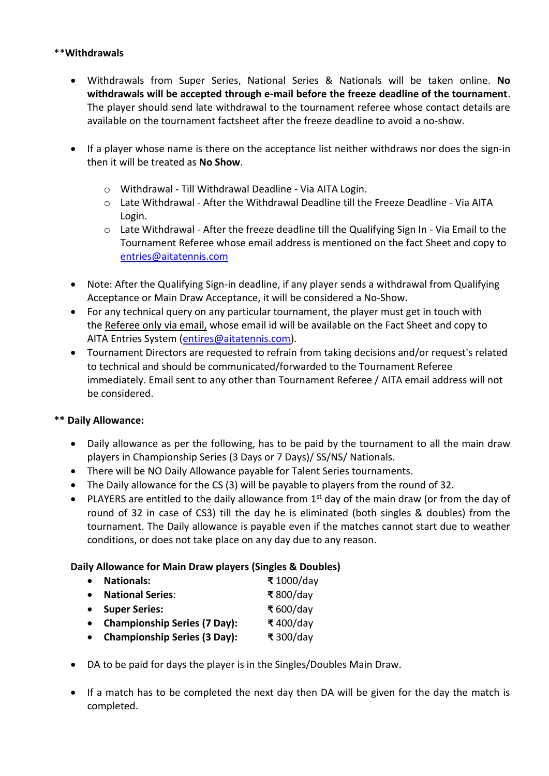#### \*\***Withdrawals**

- Withdrawals from Super Series, National Series & Nationals will be taken online. **No withdrawals will be accepted through e-mail before the freeze deadline of the tournament**. The player should send late withdrawal to the tournament referee whose contact details are available on the tournament factsheet after the freeze deadline to avoid a no-show.
- If a player whose name is there on the acceptance list neither withdraws nor does the sign-in then it will be treated as **No Show**.
	- o Withdrawal Till Withdrawal Deadline Via AITA Login.
	- o Late Withdrawal After the Withdrawal Deadline till the Freeze Deadline Via AITA Login.
	- $\circ$  Late Withdrawal After the freeze deadline till the Qualifying Sign In Via Email to the Tournament Referee whose email address is mentioned on the fact Sheet and copy to [entries@aitatennis.com](mailto:entries@aitatennis.com)
- Note: After the Qualifying Sign-in deadline, if any player sends a withdrawal from Qualifying Acceptance or Main Draw Acceptance, it will be considered a No-Show.
- For any technical query on any particular tournament, the player must get in touch with the Referee only via email, whose email id will be available on the Fact Sheet and copy to AITA Entries System [\(entires@aitatennis.com\)](mailto:entires@aitatennis.com).
- Tournament Directors are requested to refrain from taking decisions and/or request's related to technical and should be communicated/forwarded to the Tournament Referee immediately. Email sent to any other than Tournament Referee / AITA email address will not be considered.

#### **\*\* Daily Allowance:**

- Daily allowance as per the following, has to be paid by the tournament to all the main draw players in Championship Series (3 Days or 7 Days)/ SS/NS/ Nationals.
- There will be NO Daily Allowance payable for Talent Series tournaments.
- The Daily allowance for the CS (3) will be payable to players from the round of 32.
- PLAYERS are entitled to the daily allowance from  $1<sup>st</sup>$  day of the main draw (or from the day of round of 32 in case of CS3) till the day he is eliminated (both singles & doubles) from the tournament. The Daily allowance is payable even if the matches cannot start due to weather conditions, or does not take place on any day due to any reason.

### **Daily Allowance for Main Draw players (Singles & Doubles)**

- **Nationals: ₹** 1000/day
- **National Series**: **₹** 800/day
- **Super Series: ₹** 600/day
- **Championship Series (7 Day): ₹** 400/day
- **Championship Series (3 Day): ₹** 300/day
- DA to be paid for days the player is in the Singles/Doubles Main Draw.
- If a match has to be completed the next day then DA will be given for the day the match is completed.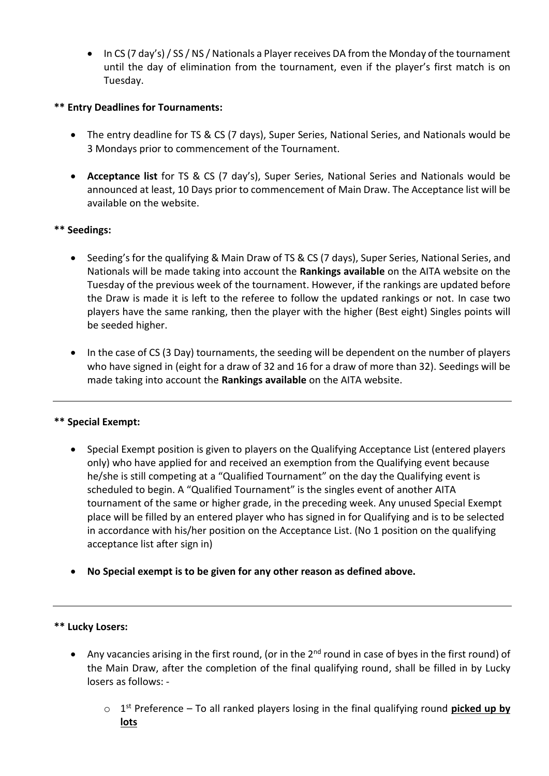In CS (7 day's) / SS / NS / Nationals a Player receives DA from the Monday of the tournament until the day of elimination from the tournament, even if the player's first match is on Tuesday.

### **\*\* Entry Deadlines for Tournaments:**

- The entry deadline for TS & CS (7 days), Super Series, National Series, and Nationals would be 3 Mondays prior to commencement of the Tournament.
- **Acceptance list** for TS & CS (7 day's), Super Series, National Series and Nationals would be announced at least, 10 Days prior to commencement of Main Draw. The Acceptance list will be available on the website.

#### **\*\* Seedings:**

- Seeding's for the qualifying & Main Draw of TS & CS (7 days), Super Series, National Series, and Nationals will be made taking into account the **Rankings available** on the AITA website on the Tuesday of the previous week of the tournament. However, if the rankings are updated before the Draw is made it is left to the referee to follow the updated rankings or not. In case two players have the same ranking, then the player with the higher (Best eight) Singles points will be seeded higher.
- In the case of CS (3 Day) tournaments, the seeding will be dependent on the number of players who have signed in (eight for a draw of 32 and 16 for a draw of more than 32). Seedings will be made taking into account the **Rankings available** on the AITA website.

#### **\*\* Special Exempt:**

- Special Exempt position is given to players on the Qualifying Acceptance List (entered players only) who have applied for and received an exemption from the Qualifying event because he/she is still competing at a "Qualified Tournament" on the day the Qualifying event is scheduled to begin. A "Qualified Tournament" is the singles event of another AITA tournament of the same or higher grade, in the preceding week. Any unused Special Exempt place will be filled by an entered player who has signed in for Qualifying and is to be selected in accordance with his/her position on the Acceptance List. (No 1 position on the qualifying acceptance list after sign in)
- **No Special exempt is to be given for any other reason as defined above.**

#### **\*\* Lucky Losers:**

- Any vacancies arising in the first round, (or in the  $2^{nd}$  round in case of byes in the first round) of the Main Draw, after the completion of the final qualifying round, shall be filled in by Lucky losers as follows:
	- o 1 st Preference To all ranked players losing in the final qualifying round **picked up by lots**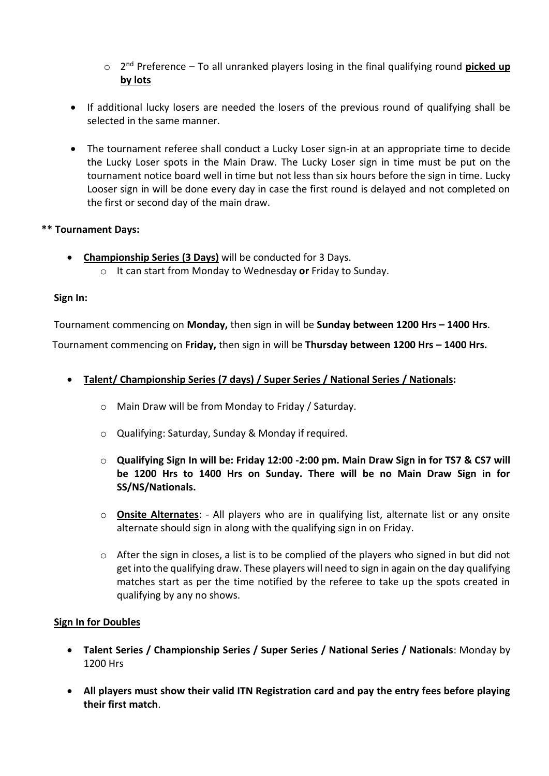- o 2 nd Preference To all unranked players losing in the final qualifying round **picked up by lots**
- If additional lucky losers are needed the losers of the previous round of qualifying shall be selected in the same manner.
- The tournament referee shall conduct a Lucky Loser sign-in at an appropriate time to decide the Lucky Loser spots in the Main Draw. The Lucky Loser sign in time must be put on the tournament notice board well in time but not less than six hours before the sign in time. Lucky Looser sign in will be done every day in case the first round is delayed and not completed on the first or second day of the main draw.

#### **\*\* Tournament Days:**

 **Championship Series (3 Days)** will be conducted for 3 Days. o It can start from Monday to Wednesday **or** Friday to Sunday.

#### **Sign In:**

Tournament commencing on **Monday,** then sign in will be **Sunday between 1200 Hrs – 1400 Hrs**.

Tournament commencing on **Friday,** then sign in will be **Thursday between 1200 Hrs – 1400 Hrs.**

### **Talent/ Championship Series (7 days) / Super Series / National Series / Nationals:**

- o Main Draw will be from Monday to Friday / Saturday.
- o Qualifying: Saturday, Sunday & Monday if required.
- o **Qualifying Sign In will be: Friday 12:00 -2:00 pm. Main Draw Sign in for TS7 & CS7 will be 1200 Hrs to 1400 Hrs on Sunday. There will be no Main Draw Sign in for SS/NS/Nationals.**
- o **Onsite Alternates**: All players who are in qualifying list, alternate list or any onsite alternate should sign in along with the qualifying sign in on Friday.
- $\circ$  After the sign in closes, a list is to be complied of the players who signed in but did not get into the qualifying draw. These players will need to sign in again on the day qualifying matches start as per the time notified by the referee to take up the spots created in qualifying by any no shows.

#### **Sign In for Doubles**

- **Talent Series / Championship Series / Super Series / National Series / Nationals**: Monday by 1200 Hrs
- **All players must show their valid ITN Registration card and pay the entry fees before playing their first match**.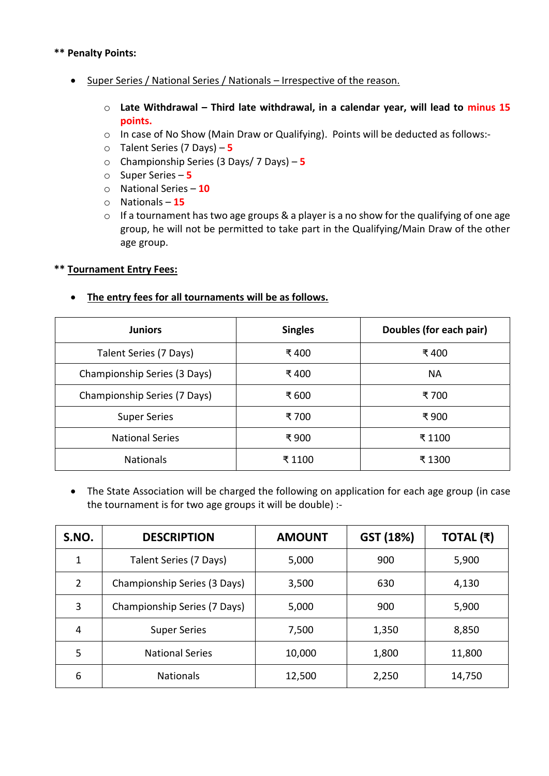#### **\*\* Penalty Points:**

- Super Series / National Series / Nationals Irrespective of the reason.
	- o **Late Withdrawal – Third late withdrawal, in a calendar year, will lead to minus 15 points.**
	- o In case of No Show (Main Draw or Qualifying). Points will be deducted as follows:-
	- o Talent Series (7 Days) **5**
	- o Championship Series (3 Days/ 7 Days) **5**
	- o Super Series **5**
	- o National Series **10**
	- o Nationals **15**
	- o If a tournament has two age groups & a player is a no show for the qualifying of one age group, he will not be permitted to take part in the Qualifying/Main Draw of the other age group.

#### **\*\* Tournament Entry Fees:**

#### **The entry fees for all tournaments will be as follows.**

| <b>Juniors</b>               | <b>Singles</b> | Doubles (for each pair) |
|------------------------------|----------------|-------------------------|
| Talent Series (7 Days)       | ₹ 400          | ₹ 400                   |
| Championship Series (3 Days) | ₹ 400          | <b>NA</b>               |
| Championship Series (7 Days) | ₹ 600          | ₹ 700                   |
| <b>Super Series</b>          | ₹700           | ₹900                    |
| <b>National Series</b>       | ₹900           | ₹ 1100                  |
| <b>Nationals</b>             | ₹ 1100         | ₹1300                   |

 The State Association will be charged the following on application for each age group (in case the tournament is for two age groups it will be double) :-

| S.NO.          | <b>DESCRIPTION</b>           | <b>AMOUNT</b> | GST (18%) | TOTAL (₹) |
|----------------|------------------------------|---------------|-----------|-----------|
|                | Talent Series (7 Days)       | 5,000         | 900       | 5,900     |
| $\overline{2}$ | Championship Series (3 Days) | 3,500         | 630       | 4,130     |
| 3              | Championship Series (7 Days) | 5,000         | 900       | 5,900     |
| 4              | <b>Super Series</b>          | 7,500         | 1,350     | 8,850     |
| 5              | <b>National Series</b>       | 10,000        | 1,800     | 11,800    |
| 6              | <b>Nationals</b>             | 12,500        | 2,250     | 14,750    |